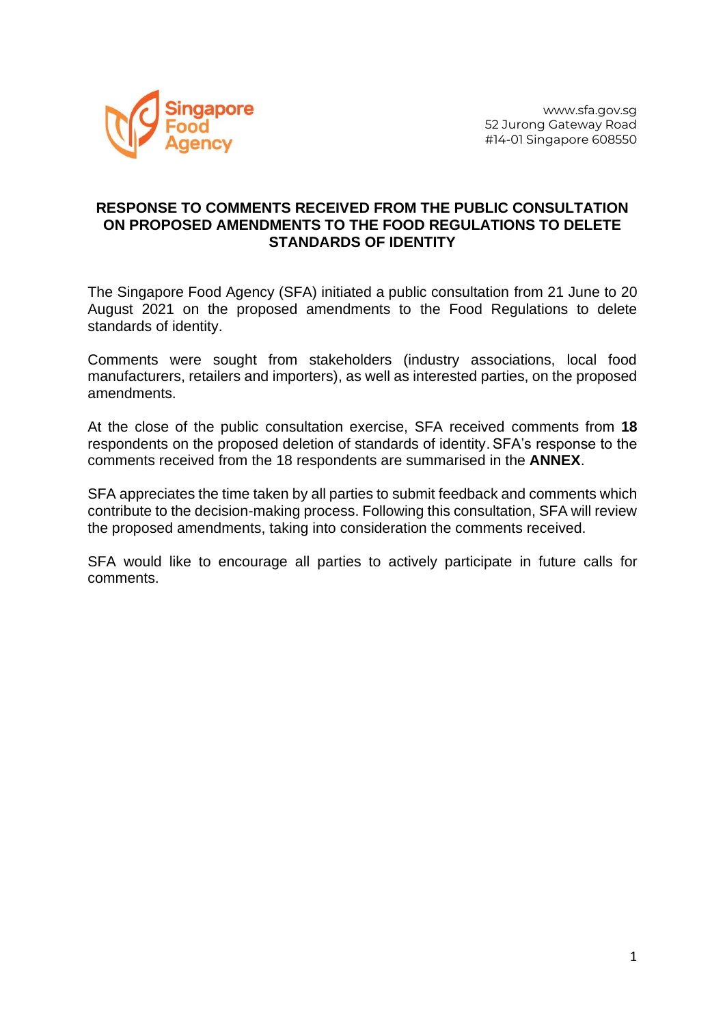

## **RESPONSE TO COMMENTS RECEIVED FROM THE PUBLIC CONSULTATION ON PROPOSED AMENDMENTS TO THE FOOD REGULATIONS TO DELETE STANDARDS OF IDENTITY**

The Singapore Food Agency (SFA) initiated a public consultation from 21 June to 20 August 2021 on the proposed amendments to the Food Regulations to delete standards of identity.

Comments were sought from stakeholders (industry associations, local food manufacturers, retailers and importers), as well as interested parties, on the proposed amendments.

At the close of the public consultation exercise, SFA received comments from **18** respondents on the proposed deletion of standards of identity.SFA's response to the comments received from the 18 respondents are summarised in the **ANNEX**.

SFA appreciates the time taken by all parties to submit feedback and comments which contribute to the decision-making process. Following this consultation, SFA will review the proposed amendments, taking into consideration the comments received.

SFA would like to encourage all parties to actively participate in future calls for comments.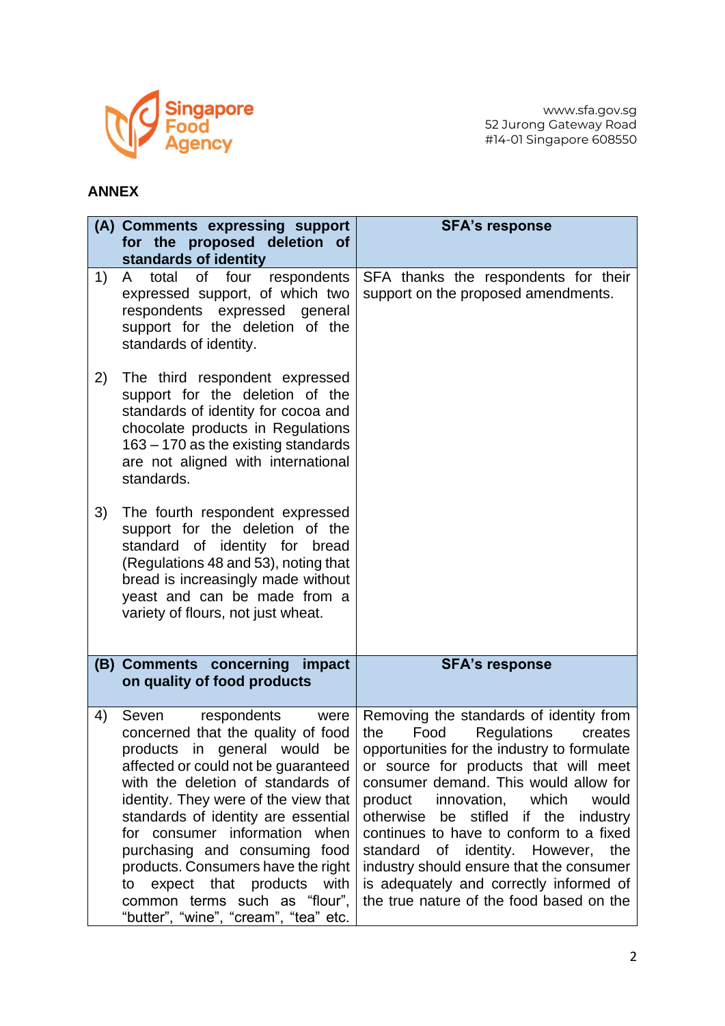

## **ANNEX**

|    | (A) Comments expressing support<br>for the proposed deletion of<br>standards of identity                                                                                                                                                                                                                                                                                                                                                                                              | <b>SFA's response</b>                                                                                                                                                                                                                                                                                                                                                                                                                                                                                                                        |
|----|---------------------------------------------------------------------------------------------------------------------------------------------------------------------------------------------------------------------------------------------------------------------------------------------------------------------------------------------------------------------------------------------------------------------------------------------------------------------------------------|----------------------------------------------------------------------------------------------------------------------------------------------------------------------------------------------------------------------------------------------------------------------------------------------------------------------------------------------------------------------------------------------------------------------------------------------------------------------------------------------------------------------------------------------|
| 1) | four<br>total<br>of<br>respondents<br>A.<br>expressed support, of which two<br>respondents expressed general<br>support for the deletion of the<br>standards of identity.                                                                                                                                                                                                                                                                                                             | SFA thanks the respondents for their<br>support on the proposed amendments.                                                                                                                                                                                                                                                                                                                                                                                                                                                                  |
| 2) | The third respondent expressed<br>support for the deletion of the<br>standards of identity for cocoa and<br>chocolate products in Regulations<br>163 – 170 as the existing standards<br>are not aligned with international<br>standards.                                                                                                                                                                                                                                              |                                                                                                                                                                                                                                                                                                                                                                                                                                                                                                                                              |
| 3) | The fourth respondent expressed<br>support for the deletion of the<br>standard of identity for bread<br>(Regulations 48 and 53), noting that<br>bread is increasingly made without<br>yeast and can be made from a<br>variety of flours, not just wheat.                                                                                                                                                                                                                              |                                                                                                                                                                                                                                                                                                                                                                                                                                                                                                                                              |
|    | (B) Comments concerning impact<br>on quality of food products                                                                                                                                                                                                                                                                                                                                                                                                                         | <b>SFA's response</b>                                                                                                                                                                                                                                                                                                                                                                                                                                                                                                                        |
| 4) | Seven<br>respondents<br>were<br>concerned that the quality of food<br>products in general would be<br>affected or could not be guaranteed<br>with the deletion of standards of<br>identity. They were of the view that<br>standards of identity are essential<br>for consumer information when<br>purchasing and consuming food<br>products. Consumers have the right<br>expect that products<br>with<br>to<br>common terms such as "flour",<br>"butter", "wine", "cream", "tea" etc. | Removing the standards of identity from<br>Food<br><b>Regulations</b><br>the<br>creates<br>opportunities for the industry to formulate<br>or source for products that will meet<br>consumer demand. This would allow for<br>product<br>innovation, which<br>would<br>be stifled if the<br>otherwise<br>industry<br>continues to have to conform to a fixed<br>standard<br>identity. However,<br>the<br>of<br>industry should ensure that the consumer<br>is adequately and correctly informed of<br>the true nature of the food based on the |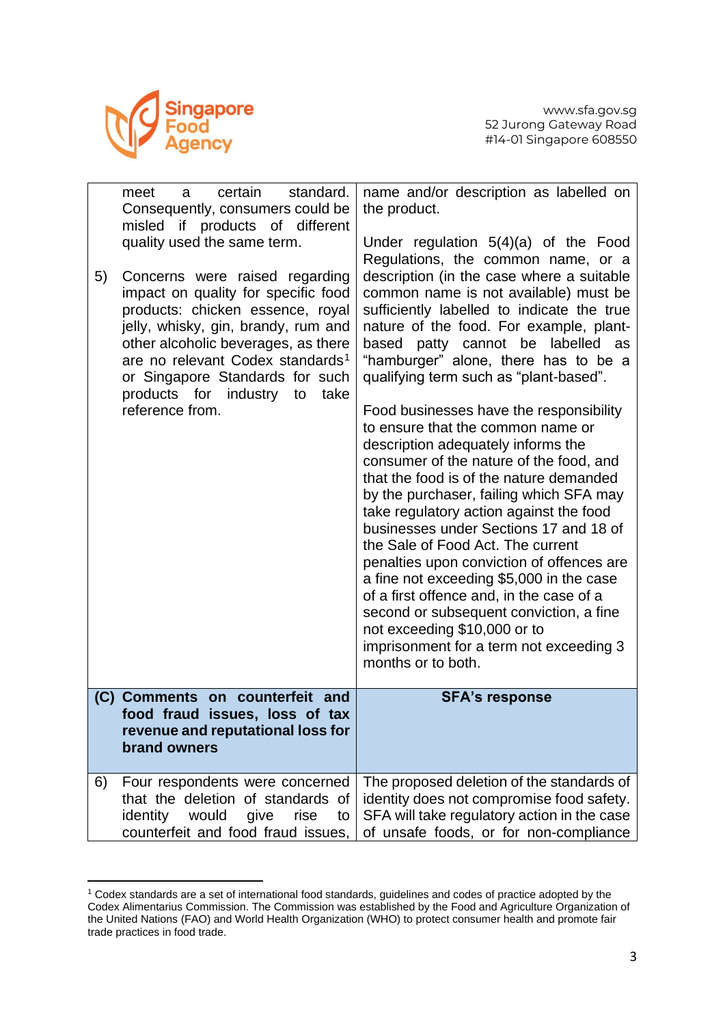

| 5) | certain<br>standard.<br>meet<br>a<br>Consequently, consumers could be<br>misled if products of different<br>quality used the same term.<br>Concerns were raised regarding<br>impact on quality for specific food<br>products: chicken essence, royal<br>jelly, whisky, gin, brandy, rum and<br>other alcoholic beverages, as there<br>are no relevant Codex standards <sup>1</sup><br>or Singapore Standards for such<br>products for industry<br>to<br>take<br>reference from. | name and/or description as labelled on<br>the product.<br>Under regulation $5(4)(a)$ of the Food<br>Regulations, the common name, or a<br>description (in the case where a suitable<br>common name is not available) must be<br>sufficiently labelled to indicate the true<br>nature of the food. For example, plant-<br>patty cannot be labelled as<br>based<br>"hamburger" alone, there has to be a<br>qualifying term such as "plant-based".<br>Food businesses have the responsibility<br>to ensure that the common name or<br>description adequately informs the<br>consumer of the nature of the food, and<br>that the food is of the nature demanded<br>by the purchaser, failing which SFA may<br>take regulatory action against the food<br>businesses under Sections 17 and 18 of<br>the Sale of Food Act. The current<br>penalties upon conviction of offences are<br>a fine not exceeding \$5,000 in the case<br>of a first offence and, in the case of a<br>second or subsequent conviction, a fine<br>not exceeding \$10,000 or to<br>imprisonment for a term not exceeding 3<br>months or to both. |
|----|---------------------------------------------------------------------------------------------------------------------------------------------------------------------------------------------------------------------------------------------------------------------------------------------------------------------------------------------------------------------------------------------------------------------------------------------------------------------------------|-------------------------------------------------------------------------------------------------------------------------------------------------------------------------------------------------------------------------------------------------------------------------------------------------------------------------------------------------------------------------------------------------------------------------------------------------------------------------------------------------------------------------------------------------------------------------------------------------------------------------------------------------------------------------------------------------------------------------------------------------------------------------------------------------------------------------------------------------------------------------------------------------------------------------------------------------------------------------------------------------------------------------------------------------------------------------------------------------------------------|
|    | (C) Comments on counterfeit and<br>food fraud issues, loss of tax<br>revenue and reputational loss for<br>brand owners                                                                                                                                                                                                                                                                                                                                                          | <b>SFA's response</b>                                                                                                                                                                                                                                                                                                                                                                                                                                                                                                                                                                                                                                                                                                                                                                                                                                                                                                                                                                                                                                                                                             |
| 6) | Four respondents were concerned<br>that the deletion of standards of<br>identity<br>would<br>give<br>rise<br>to<br>counterfeit and food fraud issues,                                                                                                                                                                                                                                                                                                                           | The proposed deletion of the standards of<br>identity does not compromise food safety.<br>SFA will take regulatory action in the case<br>of unsafe foods, or for non-compliance                                                                                                                                                                                                                                                                                                                                                                                                                                                                                                                                                                                                                                                                                                                                                                                                                                                                                                                                   |

<sup>1</sup> Codex standards are a set of international food standards, guidelines and codes of practice adopted by the Codex Alimentarius Commission. The Commission was established by the Food and Agriculture Organization of the United Nations (FAO) and World Health Organization (WHO) to protect consumer health and promote fair trade practices in food trade.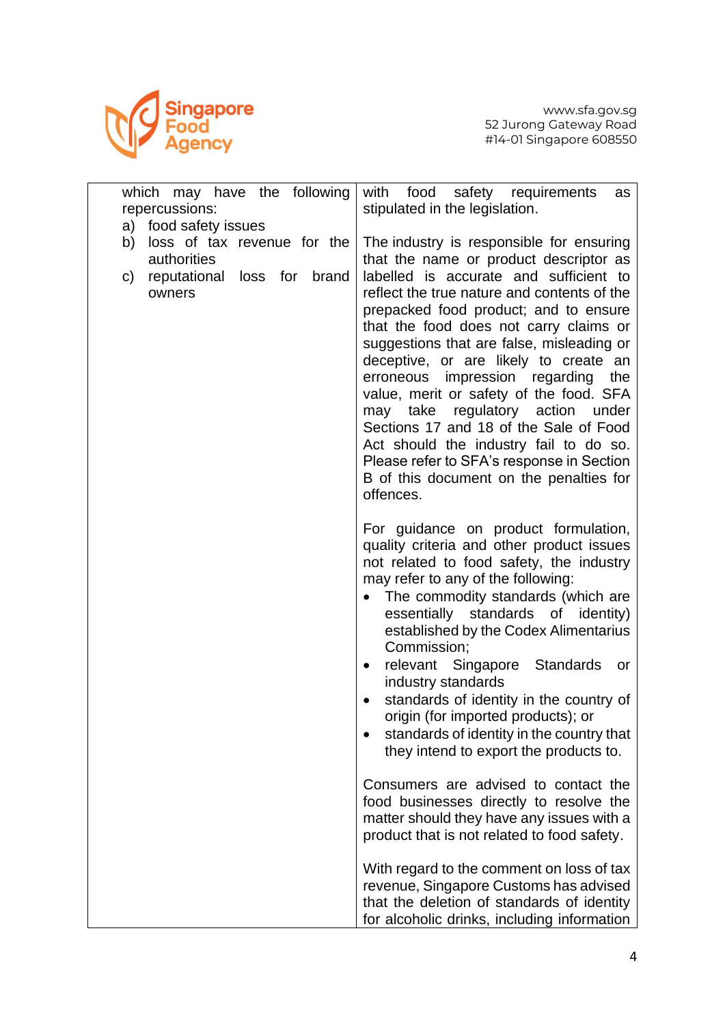

| which may have the following<br>repercussions:                                                     | with<br>food<br>safety requirements<br>as<br>stipulated in the legislation.                                                                                                                                                                                                                                                                                                                                                                                                                                                                                                                                      |
|----------------------------------------------------------------------------------------------------|------------------------------------------------------------------------------------------------------------------------------------------------------------------------------------------------------------------------------------------------------------------------------------------------------------------------------------------------------------------------------------------------------------------------------------------------------------------------------------------------------------------------------------------------------------------------------------------------------------------|
| a) food safety issues                                                                              |                                                                                                                                                                                                                                                                                                                                                                                                                                                                                                                                                                                                                  |
| loss of tax revenue for the<br>b)<br>authorities<br>reputational loss for<br>brand<br>C)<br>owners | The industry is responsible for ensuring<br>that the name or product descriptor as<br>labelled is accurate and sufficient to<br>reflect the true nature and contents of the<br>prepacked food product; and to ensure<br>that the food does not carry claims or<br>suggestions that are false, misleading or<br>deceptive, or are likely to create an<br>erroneous impression regarding<br>the<br>value, merit or safety of the food. SFA<br>may take regulatory action<br>under<br>Sections 17 and 18 of the Sale of Food<br>Act should the industry fail to do so.<br>Please refer to SFA's response in Section |
|                                                                                                    | B of this document on the penalties for<br>offences.                                                                                                                                                                                                                                                                                                                                                                                                                                                                                                                                                             |
|                                                                                                    | For guidance on product formulation,<br>quality criteria and other product issues<br>not related to food safety, the industry<br>may refer to any of the following:<br>The commodity standards (which are<br>$\bullet$<br>essentially standards of identity)<br>established by the Codex Alimentarius<br>Commission;<br>relevant Singapore<br><b>Standards</b><br>or<br>٠<br>industry standards<br>standards of identity in the country of<br>origin (for imported products); or<br>standards of identity in the country that<br>they intend to export the products to.<br>Consumers are advised to contact the  |
|                                                                                                    | food businesses directly to resolve the<br>matter should they have any issues with a<br>product that is not related to food safety.                                                                                                                                                                                                                                                                                                                                                                                                                                                                              |
|                                                                                                    | With regard to the comment on loss of tax<br>revenue, Singapore Customs has advised<br>that the deletion of standards of identity<br>for alcoholic drinks, including information                                                                                                                                                                                                                                                                                                                                                                                                                                 |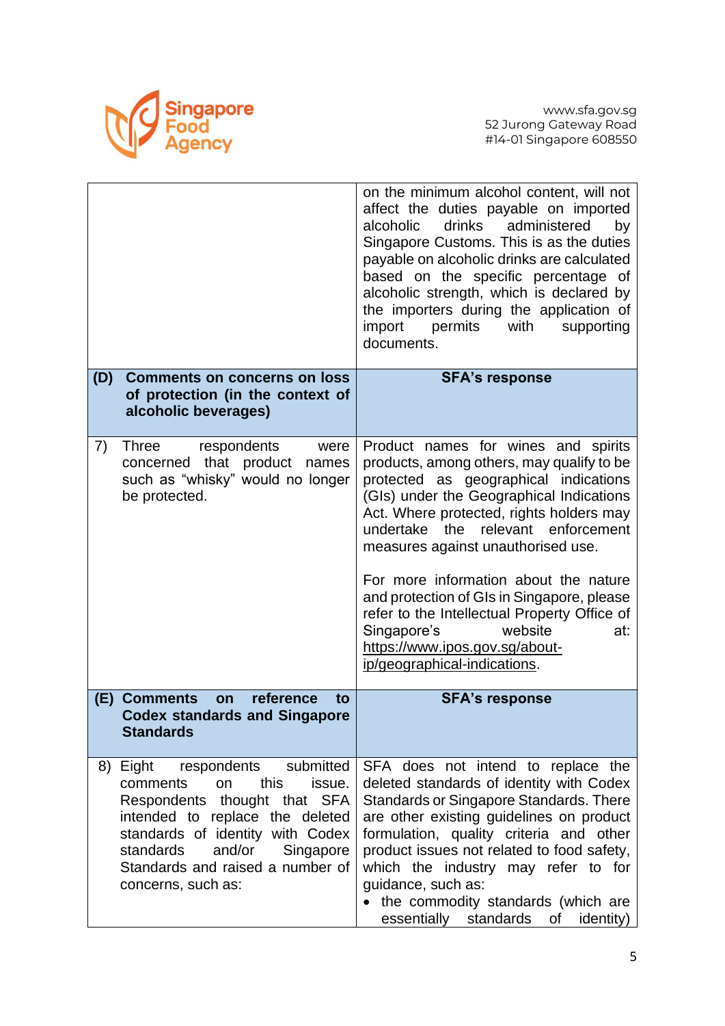

|     |                                                                                                                                                                                                                                                                                | on the minimum alcohol content, will not<br>affect the duties payable on imported<br>alcoholic drinks<br>administered<br>by<br>Singapore Customs. This is as the duties<br>payable on alcoholic drinks are calculated<br>based on the specific percentage of<br>alcoholic strength, which is declared by<br>the importers during the application of<br>import<br>permits<br>with<br>supporting<br>documents.                                                                                                                               |
|-----|--------------------------------------------------------------------------------------------------------------------------------------------------------------------------------------------------------------------------------------------------------------------------------|--------------------------------------------------------------------------------------------------------------------------------------------------------------------------------------------------------------------------------------------------------------------------------------------------------------------------------------------------------------------------------------------------------------------------------------------------------------------------------------------------------------------------------------------|
| (D) | <b>Comments on concerns on loss</b><br>of protection (in the context of<br>alcoholic beverages)                                                                                                                                                                                | <b>SFA's response</b>                                                                                                                                                                                                                                                                                                                                                                                                                                                                                                                      |
| 7)  | Three respondents<br>were<br>concerned that product<br>names<br>such as "whisky" would no longer<br>be protected.                                                                                                                                                              | Product names for wines and spirits<br>products, among others, may qualify to be<br>protected as geographical indications<br>(GIs) under the Geographical Indications<br>Act. Where protected, rights holders may<br>relevant enforcement<br>undertake the<br>measures against unauthorised use.<br>For more information about the nature<br>and protection of GIs in Singapore, please<br>refer to the Intellectual Property Office of<br>Singapore's<br>website<br>at:<br>https://www.ipos.gov.sg/about-<br>ip/geographical-indications. |
| (E) | <b>Comments</b><br>reference<br>on<br>to<br><b>Codex standards and Singapore</b><br><b>Standards</b>                                                                                                                                                                           | <b>SFA's response</b>                                                                                                                                                                                                                                                                                                                                                                                                                                                                                                                      |
| 8)  | submitted<br>Eight respondents<br>this<br>comments<br><b>on</b><br>issue.<br>Respondents thought that SFA<br>intended to replace the deleted<br>standards of identity with Codex<br>standards<br>and/or<br>Singapore<br>Standards and raised a number of<br>concerns, such as: | SFA does not intend to replace the<br>deleted standards of identity with Codex<br>Standards or Singapore Standards. There<br>are other existing guidelines on product<br>formulation, quality criteria and other<br>product issues not related to food safety,<br>which the industry may refer to for<br>guidance, such as:<br>• the commodity standards (which are<br>essentially standards<br>of<br>identity)                                                                                                                            |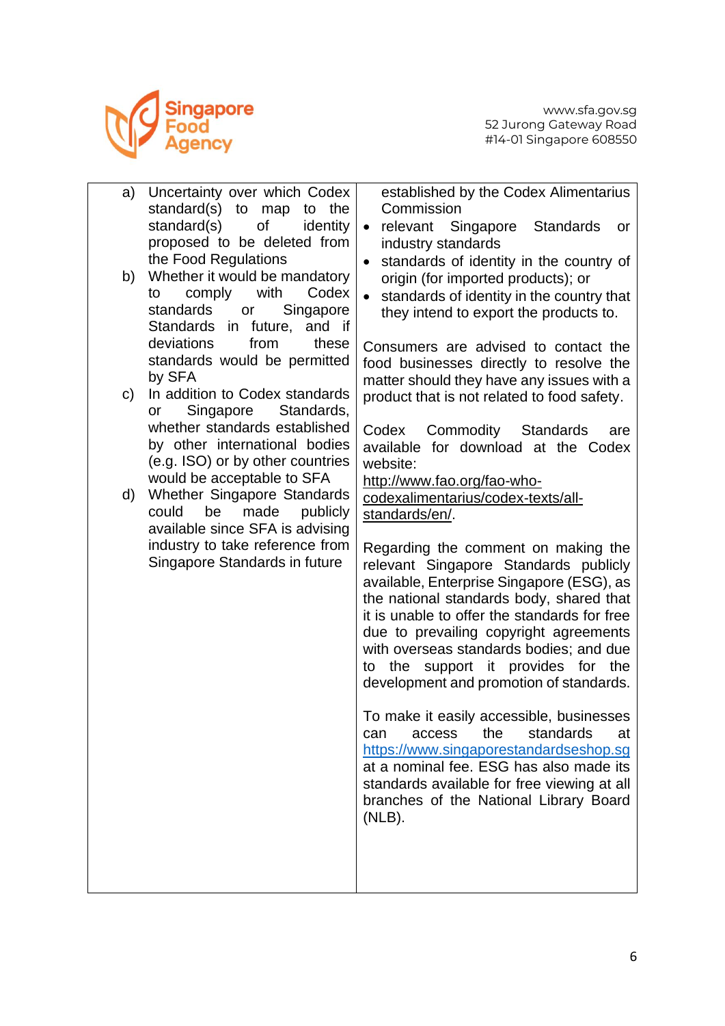

| a) | Uncertainty over which Codex<br>standard(s)<br>to<br>to the<br>map                                                              | established by the Codex Alimentarius<br>Commission                                                                                                                                                                                                                                                                                                                                         |
|----|---------------------------------------------------------------------------------------------------------------------------------|---------------------------------------------------------------------------------------------------------------------------------------------------------------------------------------------------------------------------------------------------------------------------------------------------------------------------------------------------------------------------------------------|
|    | of<br>standard(s)<br>identity<br>proposed to be deleted from                                                                    | relevant Singapore<br>Standards<br>$\bullet$<br>or<br>industry standards                                                                                                                                                                                                                                                                                                                    |
| b) | the Food Regulations<br>Whether it would be mandatory                                                                           | standards of identity in the country of<br>$\bullet$<br>origin (for imported products); or                                                                                                                                                                                                                                                                                                  |
|    | with<br>Codex<br>comply<br>to<br>standards<br>Singapore<br>or<br><b>Standards</b><br>in future, and if                          | standards of identity in the country that<br>$\bullet$<br>they intend to export the products to.                                                                                                                                                                                                                                                                                            |
|    | deviations<br>from<br>these<br>standards would be permitted                                                                     | Consumers are advised to contact the<br>food businesses directly to resolve the                                                                                                                                                                                                                                                                                                             |
| C) | by SFA<br>In addition to Codex standards<br>Singapore<br>Standards,<br>or                                                       | matter should they have any issues with a<br>product that is not related to food safety.                                                                                                                                                                                                                                                                                                    |
|    | whether standards established<br>by other international bodies<br>(e.g. ISO) or by other countries                              | Codex Commodity Standards<br>are<br>available for download at the Codex<br>website:                                                                                                                                                                                                                                                                                                         |
| d) | would be acceptable to SFA<br>Whether Singapore Standards<br>could<br>be<br>made<br>publicly<br>available since SFA is advising | http://www.fao.org/fao-who-<br>codexalimentarius/codex-texts/all-<br>standards/en/.                                                                                                                                                                                                                                                                                                         |
|    | industry to take reference from<br>Singapore Standards in future                                                                | Regarding the comment on making the<br>relevant Singapore Standards publicly<br>available, Enterprise Singapore (ESG), as<br>the national standards body, shared that<br>it is unable to offer the standards for free<br>due to prevailing copyright agreements<br>with overseas standards bodies; and due<br>to the support it provides for the<br>development and promotion of standards. |
|    |                                                                                                                                 | To make it easily accessible, businesses<br>the<br>standards<br>at<br>can<br>access<br>https://www.singaporestandardseshop.sg<br>at a nominal fee. ESG has also made its<br>standards available for free viewing at all<br>branches of the National Library Board<br>$(NLB)$ .                                                                                                              |
|    |                                                                                                                                 |                                                                                                                                                                                                                                                                                                                                                                                             |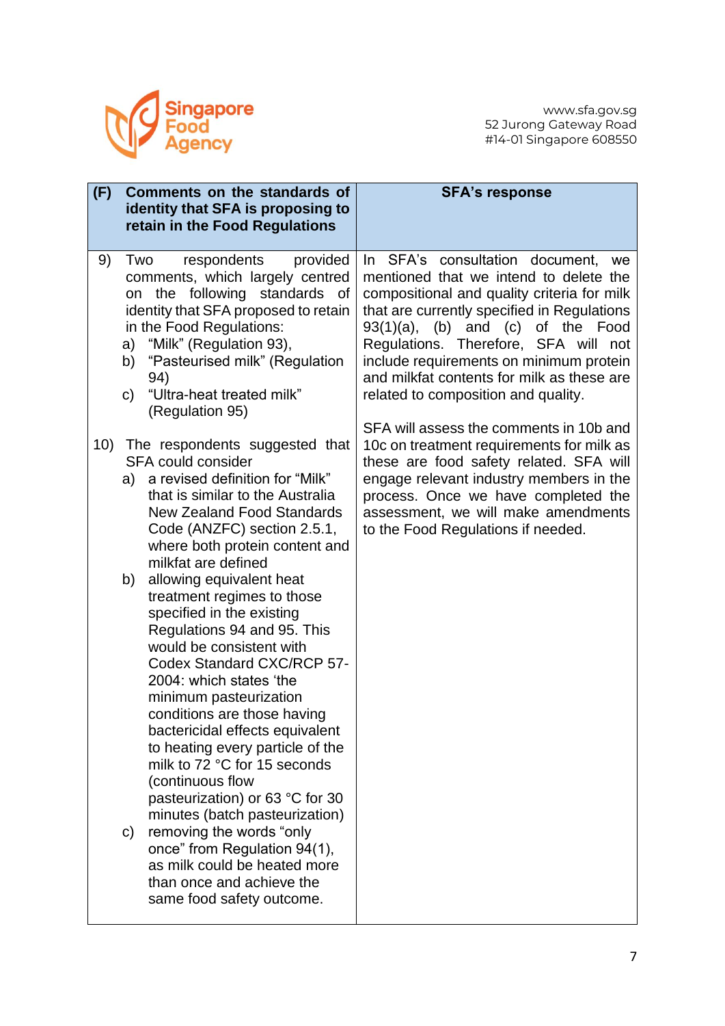

| (F) |                             | Comments on the standards of<br>identity that SFA is proposing to<br>retain in the Food Regulations                                                                                                                                                                                                                                                                                                                                                                                                                                                                                                                                                                                                                                                                                                                                                                                | <b>SFA's response</b>                                                                                                                                                                                                                                                                                                                                                                                    |
|-----|-----------------------------|------------------------------------------------------------------------------------------------------------------------------------------------------------------------------------------------------------------------------------------------------------------------------------------------------------------------------------------------------------------------------------------------------------------------------------------------------------------------------------------------------------------------------------------------------------------------------------------------------------------------------------------------------------------------------------------------------------------------------------------------------------------------------------------------------------------------------------------------------------------------------------|----------------------------------------------------------------------------------------------------------------------------------------------------------------------------------------------------------------------------------------------------------------------------------------------------------------------------------------------------------------------------------------------------------|
| 9)  | Two<br>on<br>a)<br>b)<br>C) | respondents<br>provided<br>comments, which largely centred<br>the following standards of<br>identity that SFA proposed to retain<br>in the Food Regulations:<br>"Milk" (Regulation 93),<br>"Pasteurised milk" (Regulation<br>94)<br>"Ultra-heat treated milk"<br>(Regulation 95)                                                                                                                                                                                                                                                                                                                                                                                                                                                                                                                                                                                                   | SFA's consultation document, we<br>In.<br>mentioned that we intend to delete the<br>compositional and quality criteria for milk<br>that are currently specified in Regulations<br>93(1)(a),<br>$(b)$ and $(c)$<br>of the Food<br>Regulations. Therefore, SFA will<br>not<br>include requirements on minimum protein<br>and milkfat contents for milk as these are<br>related to composition and quality. |
| 10) | a)<br>b)<br>C)              | The respondents suggested that<br>SFA could consider<br>a revised definition for "Milk"<br>that is similar to the Australia<br><b>New Zealand Food Standards</b><br>Code (ANZFC) section 2.5.1,<br>where both protein content and<br>milkfat are defined<br>allowing equivalent heat<br>treatment regimes to those<br>specified in the existing<br>Regulations 94 and 95. This<br>would be consistent with<br>Codex Standard CXC/RCP 57-<br>2004: which states 'the<br>minimum pasteurization<br>conditions are those having<br>bactericidal effects equivalent<br>to heating every particle of the<br>milk to 72 °C for 15 seconds<br>(continuous flow<br>pasteurization) or 63 °C for 30<br>minutes (batch pasteurization)<br>removing the words "only<br>once" from Regulation 94(1),<br>as milk could be heated more<br>than once and achieve the<br>same food safety outcome. | SFA will assess the comments in 10b and<br>10c on treatment requirements for milk as<br>these are food safety related. SFA will<br>engage relevant industry members in the<br>process. Once we have completed the<br>assessment, we will make amendments<br>to the Food Regulations if needed.                                                                                                           |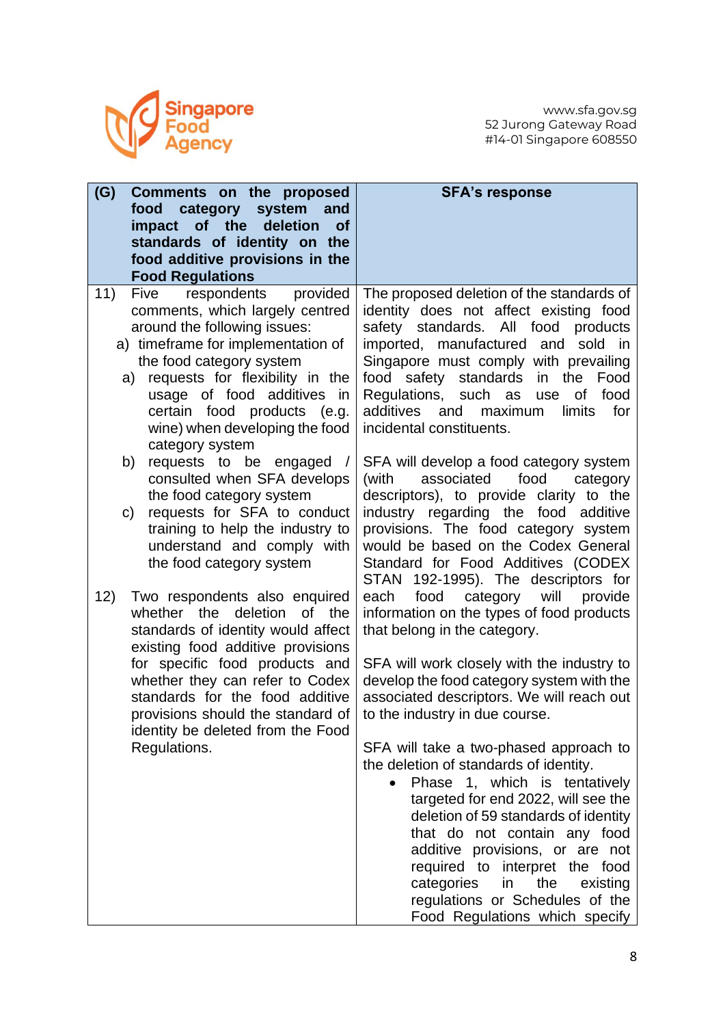

| 11)<br>respondents<br>Five<br>provided<br>comments, which largely centred<br>around the following issues:<br>safety standards. All food<br>a) timeframe for implementation of<br>imported, manufactured and<br>the food category system<br>requests for flexibility in the<br>safety standards<br>in the<br>food<br>a)<br>usage of food additives in<br>Regulations, such as<br>of<br>use<br>certain food products (e.g.<br>additives<br>and<br>maximum<br>limits<br>incidental constituents.<br>wine) when developing the food<br>category system<br>b)<br>requests to be engaged<br>consulted when SFA develops<br>food<br>(with<br>associated<br>the food category system<br>requests for SFA to conduct<br>C)<br>training to help the industry to<br>understand and comply with<br>the food category system | (G)<br>Comments on the proposed<br>food<br>category system<br>and<br>of the<br>deletion<br>impact<br><b>of</b><br>standards of identity on the<br>food additive provisions in the<br><b>Food Regulations</b> | <b>SFA's response</b>                                                                                                                                                                                                                                                                                                                                                                                                                                                                                                                                                                                                                                                                                                                                                                                                                                                                                                                                                                          |
|-----------------------------------------------------------------------------------------------------------------------------------------------------------------------------------------------------------------------------------------------------------------------------------------------------------------------------------------------------------------------------------------------------------------------------------------------------------------------------------------------------------------------------------------------------------------------------------------------------------------------------------------------------------------------------------------------------------------------------------------------------------------------------------------------------------------|--------------------------------------------------------------------------------------------------------------------------------------------------------------------------------------------------------------|------------------------------------------------------------------------------------------------------------------------------------------------------------------------------------------------------------------------------------------------------------------------------------------------------------------------------------------------------------------------------------------------------------------------------------------------------------------------------------------------------------------------------------------------------------------------------------------------------------------------------------------------------------------------------------------------------------------------------------------------------------------------------------------------------------------------------------------------------------------------------------------------------------------------------------------------------------------------------------------------|
| category<br>12)<br>Two respondents also enquired<br>food<br>will<br>each<br>deletion<br>of<br>whether the<br>the<br>standards of identity would affect<br>that belong in the category.<br>existing food additive provisions<br>for specific food products and<br>whether they can refer to Codex<br>standards for the food additive<br>to the industry in due course.<br>provisions should the standard of<br>identity be deleted from the Food<br>Regulations.<br>the deletion of standards of identity.<br>the<br>categories<br>in                                                                                                                                                                                                                                                                            |                                                                                                                                                                                                              | The proposed deletion of the standards of<br>identity does not affect existing food<br>products<br>sold in<br>Singapore must comply with prevailing<br>Food<br>food<br>for<br>SFA will develop a food category system<br>category<br>descriptors), to provide clarity to the<br>industry regarding the food additive<br>provisions. The food category system<br>would be based on the Codex General<br>Standard for Food Additives (CODEX<br>STAN 192-1995). The descriptors for<br>provide<br>information on the types of food products<br>SFA will work closely with the industry to<br>develop the food category system with the<br>associated descriptors. We will reach out<br>SFA will take a two-phased approach to<br>Phase 1, which is tentatively<br>targeted for end 2022, will see the<br>deletion of 59 standards of identity<br>that do not contain any food<br>additive provisions, or are not<br>required to interpret the food<br>existing<br>regulations or Schedules of the |